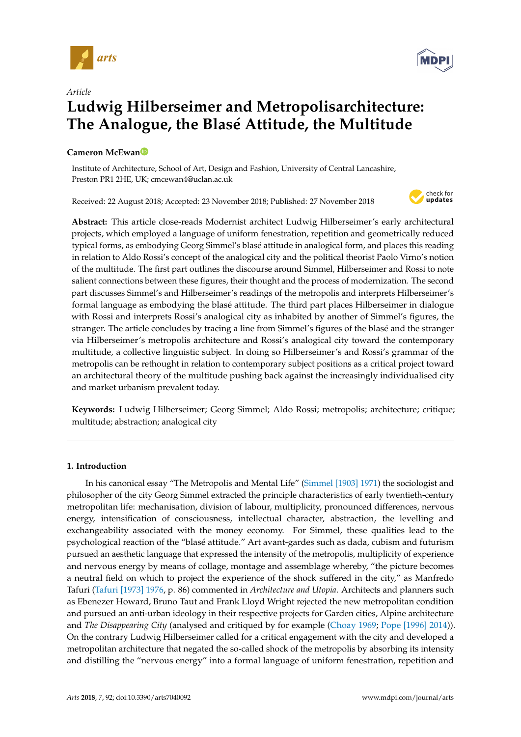



# *Article* **Ludwig Hilberseimer and Metropolisarchitecture: The Analogue, the Blasé Attitude, the Multitude**

# **Cameron McEwa[n](https://orcid.org/0000-0002-0683-1708)**

Institute of Architecture, School of Art, Design and Fashion, University of Central Lancashire, Preston PR1 2HE, UK; cmcewan4@uclan.ac.uk

Received: 22 August 2018; Accepted: 23 November 2018; Published: 27 November 2018



**Abstract:** This article close-reads Modernist architect Ludwig Hilberseimer's early architectural projects, which employed a language of uniform fenestration, repetition and geometrically reduced typical forms, as embodying Georg Simmel's blasé attitude in analogical form, and places this reading in relation to Aldo Rossi's concept of the analogical city and the political theorist Paolo Virno's notion of the multitude. The first part outlines the discourse around Simmel, Hilberseimer and Rossi to note salient connections between these figures, their thought and the process of modernization. The second part discusses Simmel's and Hilberseimer's readings of the metropolis and interprets Hilberseimer's formal language as embodying the blasé attitude. The third part places Hilberseimer in dialogue with Rossi and interprets Rossi's analogical city as inhabited by another of Simmel's figures, the stranger. The article concludes by tracing a line from Simmel's figures of the blasé and the stranger via Hilberseimer's metropolis architecture and Rossi's analogical city toward the contemporary multitude, a collective linguistic subject. In doing so Hilberseimer's and Rossi's grammar of the metropolis can be rethought in relation to contemporary subject positions as a critical project toward an architectural theory of the multitude pushing back against the increasingly individualised city and market urbanism prevalent today.

**Keywords:** Ludwig Hilberseimer; Georg Simmel; Aldo Rossi; metropolis; architecture; critique; multitude; abstraction; analogical city

## **1. Introduction**

In his canonical essay "The Metropolis and Mental Life" [\(Simmel](#page-13-0) [1903] [1971\)](#page-13-0) the sociologist and philosopher of the city Georg Simmel extracted the principle characteristics of early twentieth-century metropolitan life: mechanisation, division of labour, multiplicity, pronounced differences, nervous energy, intensification of consciousness, intellectual character, abstraction, the levelling and exchangeability associated with the money economy. For Simmel, these qualities lead to the psychological reaction of the "blasé attitude." Art avant-gardes such as dada, cubism and futurism pursued an aesthetic language that expressed the intensity of the metropolis, multiplicity of experience and nervous energy by means of collage, montage and assemblage whereby, "the picture becomes a neutral field on which to project the experience of the shock suffered in the city," as Manfredo Tafuri [\(Tafuri](#page-13-1) [1973] [1976,](#page-13-1) p. 86) commented in *Architecture and Utopia*. Architects and planners such as Ebenezer Howard, Bruno Taut and Frank Lloyd Wright rejected the new metropolitan condition and pursued an anti-urban ideology in their respective projects for Garden cities, Alpine architecture and *The Disappearing City* (analysed and critiqued by for example [\(Choay](#page-12-0) [1969;](#page-12-0) Pope [\[1996\]](#page-13-2) [2014\)](#page-13-2)). On the contrary Ludwig Hilberseimer called for a critical engagement with the city and developed a metropolitan architecture that negated the so-called shock of the metropolis by absorbing its intensity and distilling the "nervous energy" into a formal language of uniform fenestration, repetition and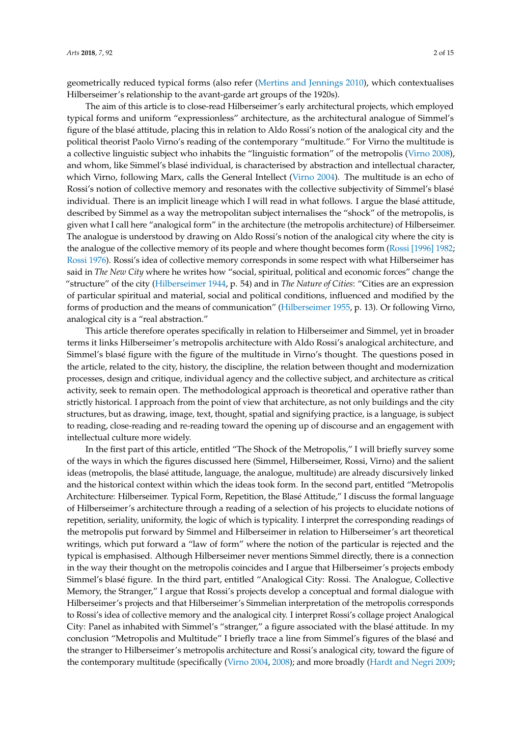geometrically reduced typical forms (also refer [\(Mertins and Jennings](#page-13-3) [2010\)](#page-13-3), which contextualises Hilberseimer's relationship to the avant-garde art groups of the 1920s).

The aim of this article is to close-read Hilberseimer's early architectural projects, which employed typical forms and uniform "expressionless" architecture, as the architectural analogue of Simmel's figure of the blasé attitude, placing this in relation to Aldo Rossi's notion of the analogical city and the political theorist Paolo Virno's reading of the contemporary "multitude." For Virno the multitude is a collective linguistic subject who inhabits the "linguistic formation" of the metropolis [\(Virno](#page-14-0) [2008\)](#page-14-0), and whom, like Simmel's blasé individual, is characterised by abstraction and intellectual character, which Virno, following Marx, calls the General Intellect [\(Virno](#page-13-4) [2004\)](#page-13-4). The multitude is an echo of Rossi's notion of collective memory and resonates with the collective subjectivity of Simmel's blasé individual. There is an implicit lineage which I will read in what follows. I argue the blasé attitude, described by Simmel as a way the metropolitan subject internalises the "shock" of the metropolis, is given what I call here "analogical form" in the architecture (the metropolis architecture) of Hilberseimer. The analogue is understood by drawing on Aldo Rossi's notion of the analogical city where the city is the analogue of the collective memory of its people and where thought becomes form (Rossi [\[1996\]](#page-13-5) [1982;](#page-13-5) [Rossi](#page-13-6) [1976\)](#page-13-6). Rossi's idea of collective memory corresponds in some respect with what Hilberseimer has said in *The New City* where he writes how "social, spiritual, political and economic forces" change the "structure" of the city [\(Hilberseimer](#page-13-7) [1944,](#page-13-7) p. 54) and in *The Nature of Cities*: "Cities are an expression of particular spiritual and material, social and political conditions, influenced and modified by the forms of production and the means of communication" [\(Hilberseimer](#page-13-8) [1955,](#page-13-8) p. 13). Or following Virno, analogical city is a "real abstraction."

This article therefore operates specifically in relation to Hilberseimer and Simmel, yet in broader terms it links Hilberseimer's metropolis architecture with Aldo Rossi's analogical architecture, and Simmel's blasé figure with the figure of the multitude in Virno's thought. The questions posed in the article, related to the city, history, the discipline, the relation between thought and modernization processes, design and critique, individual agency and the collective subject, and architecture as critical activity, seek to remain open. The methodological approach is theoretical and operative rather than strictly historical. I approach from the point of view that architecture, as not only buildings and the city structures, but as drawing, image, text, thought, spatial and signifying practice, is a language, is subject to reading, close-reading and re-reading toward the opening up of discourse and an engagement with intellectual culture more widely.

In the first part of this article, entitled "The Shock of the Metropolis," I will briefly survey some of the ways in which the figures discussed here (Simmel, Hilberseimer, Rossi, Virno) and the salient ideas (metropolis, the blasé attitude, language, the analogue, multitude) are already discursively linked and the historical context within which the ideas took form. In the second part, entitled "Metropolis Architecture: Hilberseimer. Typical Form, Repetition, the Blasé Attitude," I discuss the formal language of Hilberseimer's architecture through a reading of a selection of his projects to elucidate notions of repetition, seriality, uniformity, the logic of which is typicality. I interpret the corresponding readings of the metropolis put forward by Simmel and Hilberseimer in relation to Hilberseimer's art theoretical writings, which put forward a "law of form" where the notion of the particular is rejected and the typical is emphasised. Although Hilberseimer never mentions Simmel directly, there is a connection in the way their thought on the metropolis coincides and I argue that Hilberseimer's projects embody Simmel's blasé figure. In the third part, entitled "Analogical City: Rossi. The Analogue, Collective Memory, the Stranger," I argue that Rossi's projects develop a conceptual and formal dialogue with Hilberseimer's projects and that Hilberseimer's Simmelian interpretation of the metropolis corresponds to Rossi's idea of collective memory and the analogical city. I interpret Rossi's collage project Analogical City: Panel as inhabited with Simmel's "stranger," a figure associated with the blasé attitude. In my conclusion "Metropolis and Multitude" I briefly trace a line from Simmel's figures of the blasé and the stranger to Hilberseimer's metropolis architecture and Rossi's analogical city, toward the figure of the contemporary multitude (specifically [\(Virno](#page-13-4) [2004,](#page-13-4) [2008\)](#page-14-0); and more broadly [\(Hardt and Negri](#page-13-9) [2009;](#page-13-9)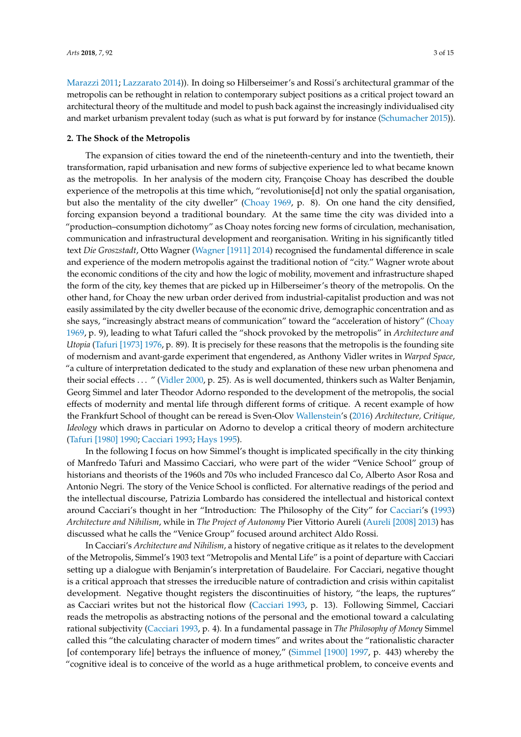[Marazzi](#page-13-10) [2011;](#page-13-10) [Lazzarato](#page-13-11) [2014\)](#page-13-11)). In doing so Hilberseimer's and Rossi's architectural grammar of the metropolis can be rethought in relation to contemporary subject positions as a critical project toward an architectural theory of the multitude and model to push back against the increasingly individualised city and market urbanism prevalent today (such as what is put forward by for instance [\(Schumacher](#page-13-12) [2015\)](#page-13-12)).

#### **2. The Shock of the Metropolis**

The expansion of cities toward the end of the nineteenth-century and into the twentieth, their transformation, rapid urbanisation and new forms of subjective experience led to what became known as the metropolis. In her analysis of the modern city, Françoise Choay has described the double experience of the metropolis at this time which, "revolutionise[d] not only the spatial organisation, but also the mentality of the city dweller" [\(Choay](#page-12-0) [1969,](#page-12-0) p. 8). On one hand the city densified, forcing expansion beyond a traditional boundary. At the same time the city was divided into a "production–consumption dichotomy" as Choay notes forcing new forms of circulation, mechanisation, communication and infrastructural development and reorganisation. Writing in his significantly titled text *Die Groszstadt*, Otto Wagner [\(Wagner \[1911\]](#page-14-1) [2014\)](#page-14-1) recognised the fundamental difference in scale and experience of the modern metropolis against the traditional notion of "city." Wagner wrote about the economic conditions of the city and how the logic of mobility, movement and infrastructure shaped the form of the city, key themes that are picked up in Hilberseimer's theory of the metropolis. On the other hand, for Choay the new urban order derived from industrial-capitalist production and was not easily assimilated by the city dweller because of the economic drive, demographic concentration and as she says, "increasingly abstract means of communication" toward the "acceleration of history" [\(Choay](#page-12-0) [1969,](#page-12-0) p. 9), leading to what Tafuri called the "shock provoked by the metropolis" in *Architecture and Utopia* (Tafuri [\[1973\]](#page-13-1) [1976,](#page-13-1) p. 89). It is precisely for these reasons that the metropolis is the founding site of modernism and avant-garde experiment that engendered, as Anthony Vidler writes in *Warped Space*, "a culture of interpretation dedicated to the study and explanation of these new urban phenomena and their social effects . . . " [\(Vidler](#page-13-13) [2000,](#page-13-13) p. 25). As is well documented, thinkers such as Walter Benjamin, Georg Simmel and later Theodor Adorno responded to the development of the metropolis, the social effects of modernity and mental life through different forms of critique. A recent example of how the Frankfurt School of thought can be reread is Sven-Olov [Wallenstein'](#page-14-2)s [\(2016\)](#page-14-2) *Architecture, Critique, Ideology* which draws in particular on Adorno to develop a critical theory of modern architecture [\(Tafuri \[1980\]](#page-13-14) [1990;](#page-13-14) [Cacciari](#page-12-1) [1993;](#page-12-1) [Hays](#page-13-15) [1995\)](#page-13-15).

In the following I focus on how Simmel's thought is implicated specifically in the city thinking of Manfredo Tafuri and Massimo Cacciari, who were part of the wider "Venice School" group of historians and theorists of the 1960s and 70s who included Francesco dal Co, Alberto Asor Rosa and Antonio Negri. The story of the Venice School is conflicted. For alternative readings of the period and the intellectual discourse, Patrizia Lombardo has considered the intellectual and historical context around Cacciari's thought in her "Introduction: The Philosophy of the City" for [Cacciari'](#page-12-1)s [\(1993\)](#page-12-1) *Architecture and Nihilism*, while in *The Project of Autonomy* Pier Vittorio Aureli [\(Aureli](#page-12-2) [2008] [2013\)](#page-12-2) has discussed what he calls the "Venice Group" focused around architect Aldo Rossi.

In Cacciari's *Architecture and Nihilism*, a history of negative critique as it relates to the development of the Metropolis, Simmel's 1903 text "Metropolis and Mental Life" is a point of departure with Cacciari setting up a dialogue with Benjamin's interpretation of Baudelaire. For Cacciari, negative thought is a critical approach that stresses the irreducible nature of contradiction and crisis within capitalist development. Negative thought registers the discontinuities of history, "the leaps, the ruptures" as Cacciari writes but not the historical flow [\(Cacciari](#page-12-1) [1993,](#page-12-1) p. 13). Following Simmel, Cacciari reads the metropolis as abstracting notions of the personal and the emotional toward a calculating rational subjectivity [\(Cacciari](#page-12-1) [1993,](#page-12-1) p. 4). In a fundamental passage in *The Philosophy of Money* Simmel called this "the calculating character of modern times" and writes about the "rationalistic character [of contemporary life] betrays the influence of money," [\(Simmel](#page-13-16) [1900] [1997,](#page-13-16) p. 443) whereby the "cognitive ideal is to conceive of the world as a huge arithmetical problem, to conceive events and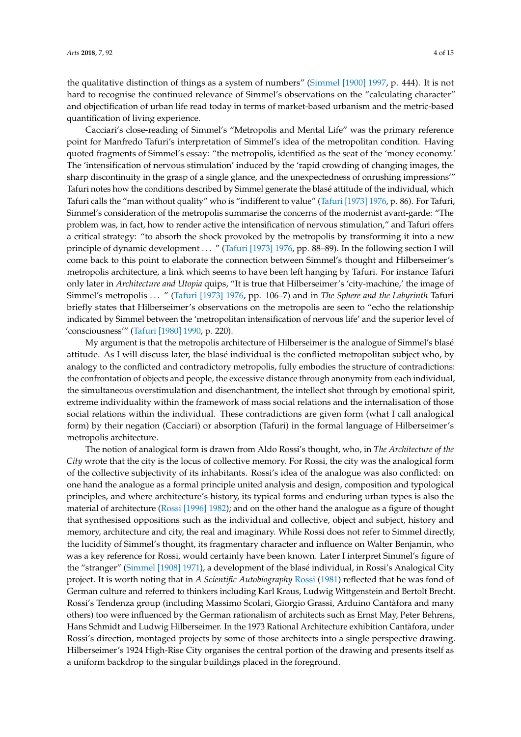the qualitative distinction of things as a system of numbers" [\(Simmel](#page-13-16) [1900] [1997,](#page-13-16) p. 444). It is not hard to recognise the continued relevance of Simmel's observations on the "calculating character" and objectification of urban life read today in terms of market-based urbanism and the metric-based quantification of living experience.

Cacciari's close-reading of Simmel's "Metropolis and Mental Life" was the primary reference point for Manfredo Tafuri's interpretation of Simmel's idea of the metropolitan condition. Having quoted fragments of Simmel's essay: "the metropolis, identified as the seat of the 'money economy.' The 'intensification of nervous stimulation' induced by the 'rapid crowding of changing images, the sharp discontinuity in the grasp of a single glance, and the unexpectedness of onrushing impressions'" Tafuri notes how the conditions described by Simmel generate the blasé attitude of the individual, which Tafuri calls the "man without quality" who is "indifferent to value" [\(Tafuri](#page-13-1) [1973] [1976,](#page-13-1) p. 86). For Tafuri, Simmel's consideration of the metropolis summarise the concerns of the modernist avant-garde: "The problem was, in fact, how to render active the intensification of nervous stimulation," and Tafuri offers a critical strategy: "to absorb the shock provoked by the metropolis by transforming it into a new principle of dynamic development . . . " [\(Tafuri](#page-13-1) [1973] [1976,](#page-13-1) pp. 88-89). In the following section I will come back to this point to elaborate the connection between Simmel's thought and Hilberseimer's metropolis architecture, a link which seems to have been left hanging by Tafuri. For instance Tafuri only later in *Architecture and Utopia* quips, "It is true that Hilberseimer's 'city-machine,' the image of Simmel's metropolis . . . " [\(Tafuri](#page-13-1) [1973] [1976,](#page-13-1) pp. 106–7) and in *The Sphere and the Labyrinth* Tafuri briefly states that Hilberseimer's observations on the metropolis are seen to "echo the relationship indicated by Simmel between the 'metropolitan intensification of nervous life' and the superior level of 'consciousness'" [\(Tafuri \[1980\]](#page-13-14) [1990,](#page-13-14) p. 220).

My argument is that the metropolis architecture of Hilberseimer is the analogue of Simmel's blasé attitude. As I will discuss later, the blasé individual is the conflicted metropolitan subject who, by analogy to the conflicted and contradictory metropolis, fully embodies the structure of contradictions: the confrontation of objects and people, the excessive distance through anonymity from each individual, the simultaneous overstimulation and disenchantment, the intellect shot through by emotional spirit, extreme individuality within the framework of mass social relations and the internalisation of those social relations within the individual. These contradictions are given form (what I call analogical form) by their negation (Cacciari) or absorption (Tafuri) in the formal language of Hilberseimer's metropolis architecture.

The notion of analogical form is drawn from Aldo Rossi's thought, who, in *The Architecture of the City* wrote that the city is the locus of collective memory. For Rossi, the city was the analogical form of the collective subjectivity of its inhabitants. Rossi's idea of the analogue was also conflicted: on one hand the analogue as a formal principle united analysis and design, composition and typological principles, and where architecture's history, its typical forms and enduring urban types is also the material of architecture (Rossi [\[1996\]](#page-13-5) [1982\)](#page-13-5); and on the other hand the analogue as a figure of thought that synthesised oppositions such as the individual and collective, object and subject, history and memory, architecture and city, the real and imaginary. While Rossi does not refer to Simmel directly, the lucidity of Simmel's thought, its fragmentary character and influence on Walter Benjamin, who was a key reference for Rossi, would certainly have been known. Later I interpret Simmel's figure of the "stranger" [\(Simmel](#page-13-17) [1908] [1971\)](#page-13-17), a development of the blasé individual, in Rossi's Analogical City project. It is worth noting that in *A Scientific Autobiography* [Rossi](#page-13-18) [\(1981\)](#page-13-18) reflected that he was fond of German culture and referred to thinkers including Karl Kraus, Ludwig Wittgenstein and Bertolt Brecht. Rossi's Tendenza group (including Massimo Scolari, Giorgio Grassi, Arduino Cantàfora and many others) too were influenced by the German rationalism of architects such as Ernst May, Peter Behrens, Hans Schmidt and Ludwig Hilberseimer. In the 1973 Rational Architecture exhibition Cantàfora, under Rossi's direction, montaged projects by some of those architects into a single perspective drawing. Hilberseimer's 1924 High-Rise City organises the central portion of the drawing and presents itself as a uniform backdrop to the singular buildings placed in the foreground.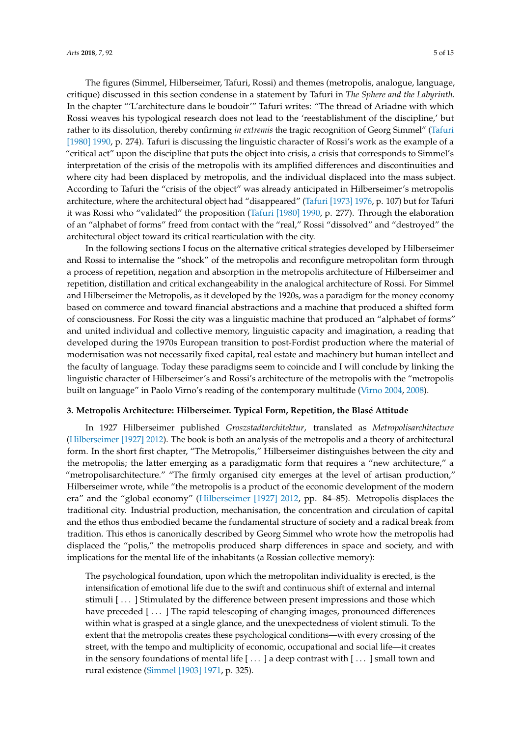The figures (Simmel, Hilberseimer, Tafuri, Rossi) and themes (metropolis, analogue, language, critique) discussed in this section condense in a statement by Tafuri in *The Sphere and the Labyrinth.* In the chapter "'L'architecture dans le boudoir'" Tafuri writes: "The thread of Ariadne with which Rossi weaves his typological research does not lead to the 'reestablishment of the discipline,' but rather to its dissolution, thereby confirming *in extremis* the tragic recognition of Georg Simmel" [\(Tafuri](#page-13-14) [\[1980\]](#page-13-14) [1990,](#page-13-14) p. 274). Tafuri is discussing the linguistic character of Rossi's work as the example of a "critical act" upon the discipline that puts the object into crisis, a crisis that corresponds to Simmel's interpretation of the crisis of the metropolis with its amplified differences and discontinuities and where city had been displaced by metropolis, and the individual displaced into the mass subject. According to Tafuri the "crisis of the object" was already anticipated in Hilberseimer's metropolis architecture, where the architectural object had "disappeared" [\(Tafuri](#page-13-1) [1973] [1976,](#page-13-1) p. 107) but for Tafuri it was Rossi who "validated" the proposition [\(Tafuri](#page-13-14) [1980] [1990,](#page-13-14) p. 277). Through the elaboration of an "alphabet of forms" freed from contact with the "real," Rossi "dissolved" and "destroyed" the architectural object toward its critical rearticulation with the city.

In the following sections I focus on the alternative critical strategies developed by Hilberseimer and Rossi to internalise the "shock" of the metropolis and reconfigure metropolitan form through a process of repetition, negation and absorption in the metropolis architecture of Hilberseimer and repetition, distillation and critical exchangeability in the analogical architecture of Rossi. For Simmel and Hilberseimer the Metropolis, as it developed by the 1920s, was a paradigm for the money economy based on commerce and toward financial abstractions and a machine that produced a shifted form of consciousness. For Rossi the city was a linguistic machine that produced an "alphabet of forms" and united individual and collective memory, linguistic capacity and imagination, a reading that developed during the 1970s European transition to post-Fordist production where the material of modernisation was not necessarily fixed capital, real estate and machinery but human intellect and the faculty of language. Today these paradigms seem to coincide and I will conclude by linking the linguistic character of Hilberseimer's and Rossi's architecture of the metropolis with the "metropolis built on language" in Paolo Virno's reading of the contemporary multitude [\(Virno](#page-13-4) [2004,](#page-13-4) [2008\)](#page-14-0).

### **3. Metropolis Architecture: Hilberseimer. Typical Form, Repetition, the Blasé Attitude**

In 1927 Hilberseimer published *Groszstadtarchitektur*, translated as *Metropolisarchitecture* [\(Hilberseimer](#page-13-19) [1927] [2012\)](#page-13-19). The book is both an analysis of the metropolis and a theory of architectural form. In the short first chapter, "The Metropolis," Hilberseimer distinguishes between the city and the metropolis; the latter emerging as a paradigmatic form that requires a "new architecture," a "metropolisarchitecture." "The firmly organised city emerges at the level of artisan production," Hilberseimer wrote, while "the metropolis is a product of the economic development of the modern era" and the "global economy" [\(Hilberseimer](#page-13-19) [1927] [2012,](#page-13-19) pp. 84–85). Metropolis displaces the traditional city. Industrial production, mechanisation, the concentration and circulation of capital and the ethos thus embodied became the fundamental structure of society and a radical break from tradition. This ethos is canonically described by Georg Simmel who wrote how the metropolis had displaced the "polis," the metropolis produced sharp differences in space and society, and with implications for the mental life of the inhabitants (a Rossian collective memory):

The psychological foundation, upon which the metropolitan individuality is erected, is the intensification of emotional life due to the swift and continuous shift of external and internal stimuli [ . . . ] Stimulated by the difference between present impressions and those which have preceded [...] The rapid telescoping of changing images, pronounced differences within what is grasped at a single glance, and the unexpectedness of violent stimuli. To the extent that the metropolis creates these psychological conditions—with every crossing of the street, with the tempo and multiplicity of economic, occupational and social life—it creates in the sensory foundations of mental life [...] a deep contrast with [...] small town and rural existence [\(Simmel \[1903\]](#page-13-0) [1971,](#page-13-0) p. 325).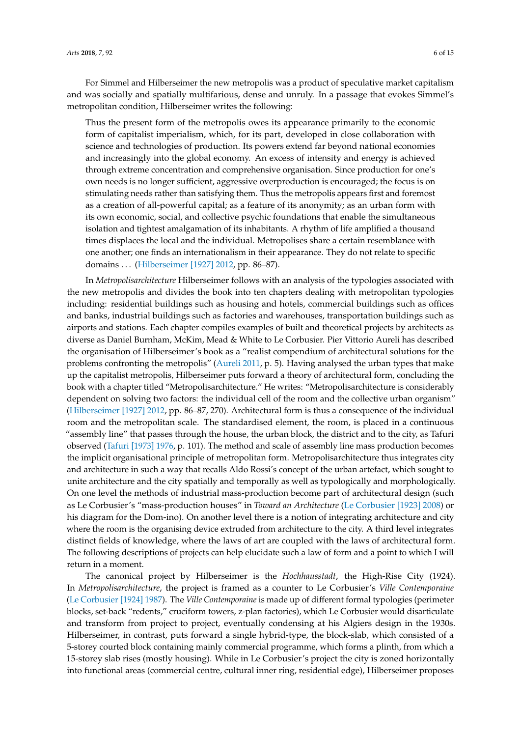For Simmel and Hilberseimer the new metropolis was a product of speculative market capitalism and was socially and spatially multifarious, dense and unruly. In a passage that evokes Simmel's metropolitan condition, Hilberseimer writes the following:

Thus the present form of the metropolis owes its appearance primarily to the economic form of capitalist imperialism, which, for its part, developed in close collaboration with science and technologies of production. Its powers extend far beyond national economies and increasingly into the global economy. An excess of intensity and energy is achieved through extreme concentration and comprehensive organisation. Since production for one's own needs is no longer sufficient, aggressive overproduction is encouraged; the focus is on stimulating needs rather than satisfying them. Thus the metropolis appears first and foremost as a creation of all-powerful capital; as a feature of its anonymity; as an urban form with its own economic, social, and collective psychic foundations that enable the simultaneous isolation and tightest amalgamation of its inhabitants. A rhythm of life amplified a thousand times displaces the local and the individual. Metropolises share a certain resemblance with one another; one finds an internationalism in their appearance. They do not relate to specific domains . . . [\(Hilberseimer \[1927\]](#page-13-19) [2012,](#page-13-19) pp. 86–87).

In *Metropolisarchitecture* Hilberseimer follows with an analysis of the typologies associated with the new metropolis and divides the book into ten chapters dealing with metropolitan typologies including: residential buildings such as housing and hotels, commercial buildings such as offices and banks, industrial buildings such as factories and warehouses, transportation buildings such as airports and stations. Each chapter compiles examples of built and theoretical projects by architects as diverse as Daniel Burnham, McKim, Mead & White to Le Corbusier. Pier Vittorio Aureli has described the organisation of Hilberseimer's book as a "realist compendium of architectural solutions for the problems confronting the metropolis" [\(Aureli](#page-12-3) [2011,](#page-12-3) p. 5). Having analysed the urban types that make up the capitalist metropolis, Hilberseimer puts forward a theory of architectural form, concluding the book with a chapter titled "Metropolisarchitecture." He writes: "Metropolisarchitecture is considerably dependent on solving two factors: the individual cell of the room and the collective urban organism" [\(Hilberseimer](#page-13-19) [1927] [2012,](#page-13-19) pp. 86–87, 270). Architectural form is thus a consequence of the individual room and the metropolitan scale. The standardised element, the room, is placed in a continuous "assembly line" that passes through the house, the urban block, the district and to the city, as Tafuri observed [\(Tafuri](#page-13-1) [1973] [1976,](#page-13-1) p. 101). The method and scale of assembly line mass production becomes the implicit organisational principle of metropolitan form. Metropolisarchitecture thus integrates city and architecture in such a way that recalls Aldo Rossi's concept of the urban artefact, which sought to unite architecture and the city spatially and temporally as well as typologically and morphologically. On one level the methods of industrial mass-production become part of architectural design (such as Le Corbusier's "mass-production houses" in *Toward an Architecture* [\(Le Corbusier](#page-13-20) [1923] [2008\)](#page-13-20) or his diagram for the Dom-ino). On another level there is a notion of integrating architecture and city where the room is the organising device extruded from architecture to the city. A third level integrates distinct fields of knowledge, where the laws of art are coupled with the laws of architectural form. The following descriptions of projects can help elucidate such a law of form and a point to which I will return in a moment.

The canonical project by Hilberseimer is the *Hochhausstadt*, the High-Rise City (1924). In *Metropolisarchitecture*, the project is framed as a counter to Le Corbusier's *Ville Contemporaine* [\(Le Corbusier](#page-13-21) [1924] [1987\)](#page-13-21). The *Ville Contemporaine* is made up of different formal typologies (perimeter blocks, set-back "redents," cruciform towers, z-plan factories), which Le Corbusier would disarticulate and transform from project to project, eventually condensing at his Algiers design in the 1930s. Hilberseimer, in contrast, puts forward a single hybrid-type, the block-slab, which consisted of a 5-storey courted block containing mainly commercial programme, which forms a plinth, from which a 15-storey slab rises (mostly housing). While in Le Corbusier's project the city is zoned horizontally into functional areas (commercial centre, cultural inner ring, residential edge), Hilberseimer proposes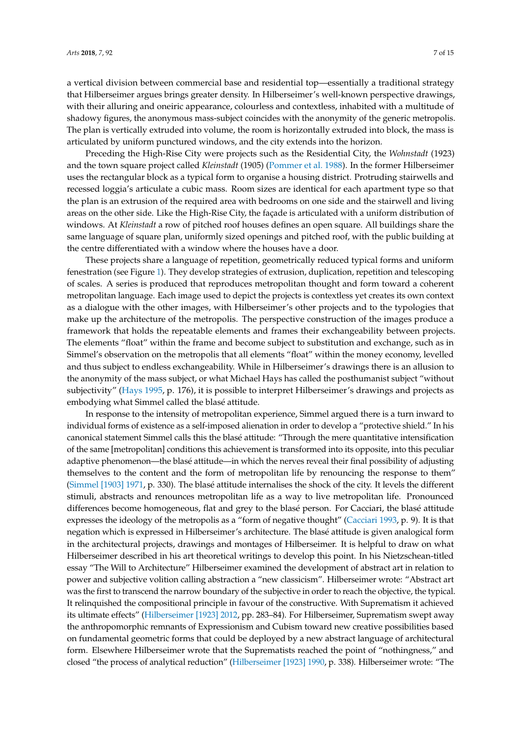a vertical division between commercial base and residential top—essentially a traditional strategy that Hilberseimer argues brings greater density. In Hilberseimer's well-known perspective drawings, with their alluring and oneiric appearance, colourless and contextless, inhabited with a multitude of shadowy figures, the anonymous mass-subject coincides with the anonymity of the generic metropolis. The plan is vertically extruded into volume, the room is horizontally extruded into block, the mass is articulated by uniform punctured windows, and the city extends into the horizon.

Preceding the High-Rise City were projects such as the Residential City, the *Wohnstadt* (1923) and the town square project called *Kleinstadt* (1905) [\(Pommer et al.](#page-13-22) [1988\)](#page-13-22). In the former Hilberseimer uses the rectangular block as a typical form to organise a housing district. Protruding stairwells and recessed loggia's articulate a cubic mass. Room sizes are identical for each apartment type so that the plan is an extrusion of the required area with bedrooms on one side and the stairwell and living areas on the other side. Like the High-Rise City, the façade is articulated with a uniform distribution of windows. At *Kleinstadt* a row of pitched roof houses defines an open square. All buildings share the same language of square plan, uniformly sized openings and pitched roof, with the public building at the centre differentiated with a window where the houses have a door.

These projects share a language of repetition, geometrically reduced typical forms and uniform fenestration (see Figure [1\)](#page-8-0). They develop strategies of extrusion, duplication, repetition and telescoping of scales. A series is produced that reproduces metropolitan thought and form toward a coherent metropolitan language. Each image used to depict the projects is contextless yet creates its own context as a dialogue with the other images, with Hilberseimer's other projects and to the typologies that make up the architecture of the metropolis. The perspective construction of the images produce a framework that holds the repeatable elements and frames their exchangeability between projects. The elements "float" within the frame and become subject to substitution and exchange, such as in Simmel's observation on the metropolis that all elements "float" within the money economy, levelled and thus subject to endless exchangeability. While in Hilberseimer's drawings there is an allusion to the anonymity of the mass subject, or what Michael Hays has called the posthumanist subject "without subjectivity" [\(Hays](#page-13-15) [1995,](#page-13-15) p. 176), it is possible to interpret Hilberseimer's drawings and projects as embodying what Simmel called the blasé attitude.

In response to the intensity of metropolitan experience, Simmel argued there is a turn inward to individual forms of existence as a self-imposed alienation in order to develop a "protective shield." In his canonical statement Simmel calls this the blasé attitude: "Through the mere quantitative intensification of the same [metropolitan] conditions this achievement is transformed into its opposite, into this peculiar adaptive phenomenon—the blasé attitude—in which the nerves reveal their final possibility of adjusting themselves to the content and the form of metropolitan life by renouncing the response to them" [\(Simmel](#page-13-0) [1903] [1971,](#page-13-0) p. 330). The blasé attitude internalises the shock of the city. It levels the different stimuli, abstracts and renounces metropolitan life as a way to live metropolitan life. Pronounced differences become homogeneous, flat and grey to the blasé person. For Cacciari, the blasé attitude expresses the ideology of the metropolis as a "form of negative thought" [\(Cacciari](#page-12-1) [1993,](#page-12-1) p. 9). It is that negation which is expressed in Hilberseimer's architecture. The blasé attitude is given analogical form in the architectural projects, drawings and montages of Hilberseimer. It is helpful to draw on what Hilberseimer described in his art theoretical writings to develop this point. In his Nietzschean-titled essay "The Will to Architecture" Hilberseimer examined the development of abstract art in relation to power and subjective volition calling abstraction a "new classicism". Hilberseimer wrote: "Abstract art was the first to transcend the narrow boundary of the subjective in order to reach the objective, the typical. It relinquished the compositional principle in favour of the constructive. With Suprematism it achieved its ultimate effects" [\(Hilberseimer](#page-13-23) [1923] [2012,](#page-13-23) pp. 283–84). For Hilberseimer, Suprematism swept away the anthropomorphic remnants of Expressionism and Cubism toward new creative possibilities based on fundamental geometric forms that could be deployed by a new abstract language of architectural form. Elsewhere Hilberseimer wrote that the Suprematists reached the point of "nothingness," and closed "the process of analytical reduction" [\(Hilberseimer](#page-13-24) [1923] [1990,](#page-13-24) p. 338). Hilberseimer wrote: "The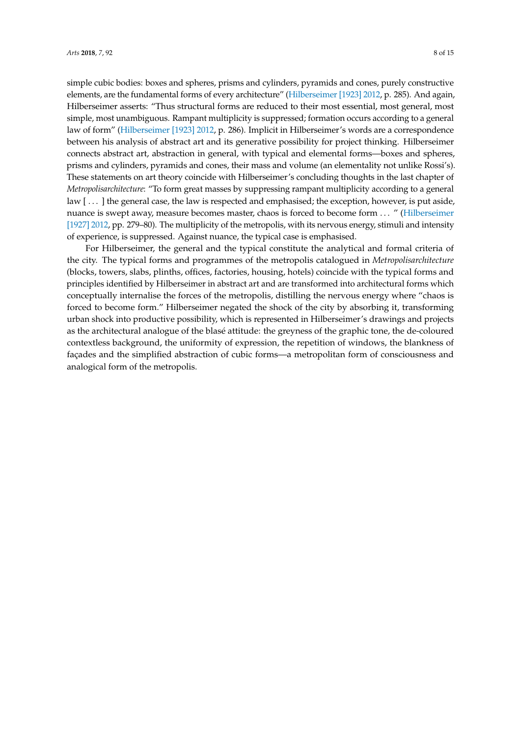simple cubic bodies: boxes and spheres, prisms and cylinders, pyramids and cones, purely constructive elements, are the fundamental forms of every architecture" [\(Hilberseimer](#page-13-23) [1923] [2012,](#page-13-23) p. 285). And again, Hilberseimer asserts: "Thus structural forms are reduced to their most essential, most general, most simple, most unambiguous. Rampant multiplicity is suppressed; formation occurs according to a general law of form" [\(Hilberseimer](#page-13-23) [1923] [2012,](#page-13-23) p. 286). Implicit in Hilberseimer's words are a correspondence between his analysis of abstract art and its generative possibility for project thinking. Hilberseimer connects abstract art, abstraction in general, with typical and elemental forms—boxes and spheres, prisms and cylinders, pyramids and cones, their mass and volume (an elementality not unlike Rossi's). These statements on art theory coincide with Hilberseimer's concluding thoughts in the last chapter of *Metropolisarchitecture*: "To form great masses by suppressing rampant multiplicity according to a general law [...] the general case, the law is respected and emphasised; the exception, however, is put aside, nuance is swept away, measure becomes master, chaos is forced to become form . . . " [\(Hilberseimer](#page-13-19) [\[1927\]](#page-13-19) [2012,](#page-13-19) pp. 279–80). The multiplicity of the metropolis, with its nervous energy, stimuli and intensity of experience, is suppressed. Against nuance, the typical case is emphasised.

For Hilberseimer, the general and the typical constitute the analytical and formal criteria of the city. The typical forms and programmes of the metropolis catalogued in *Metropolisarchitecture* (blocks, towers, slabs, plinths, offices, factories, housing, hotels) coincide with the typical forms and principles identified by Hilberseimer in abstract art and are transformed into architectural forms which conceptually internalise the forces of the metropolis, distilling the nervous energy where "chaos is forced to become form." Hilberseimer negated the shock of the city by absorbing it, transforming urban shock into productive possibility, which is represented in Hilberseimer's drawings and projects as the architectural analogue of the blasé attitude: the greyness of the graphic tone, the de-coloured contextless background, the uniformity of expression, the repetition of windows, the blankness of façades and the simplified abstraction of cubic forms—a metropolitan form of consciousness and analogical form of the metropolis.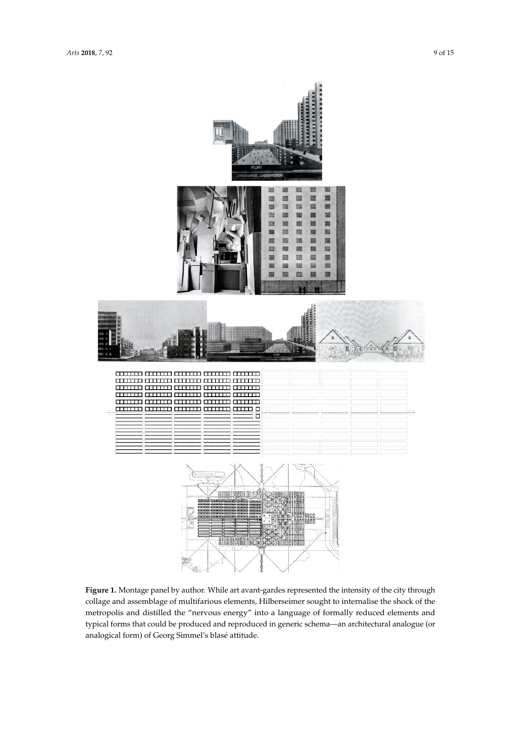<span id="page-8-0"></span>

metropolis and distilled the "nervous energy" into a language of formally reduced elements and typical forms that could be produced and reproduced in generic schema—an architectural analogue (or shock of the metropolis and distilled the metropolis and distilled the metropolis energy in the metropolis reduced the metropolis reduced to the metropolis reduced to the metropolis reduced to the metropolis reduced to the elements and typical forms that could be produced and reproduced and reproduced in generic schema—and reproduced in generic schema **Figure 1.** Montage panel by author. While art avant-gardes represented the intensity of the city through collage and assemblage of multifarious elements, Hilberseimer sought to internalise the shock of the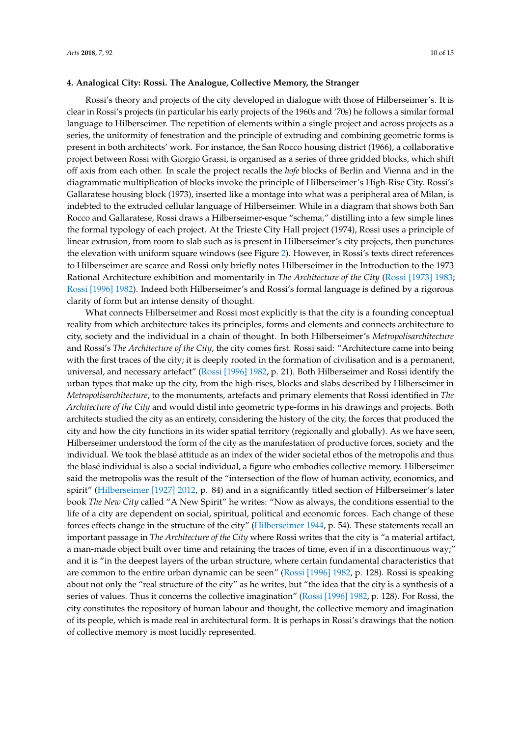### **4. Analogical City: Rossi. The Analogue, Collective Memory, the Stranger**

Rossi's theory and projects of the city developed in dialogue with those of Hilberseimer's. It is clear in Rossi's projects (in particular his early projects of the 1960s and '70s) he follows a similar formal language to Hilberseimer. The repetition of elements within a single project and across projects as a series, the uniformity of fenestration and the principle of extruding and combining geometric forms is present in both architects' work. For instance, the San Rocco housing district (1966), a collaborative project between Rossi with Giorgio Grassi, is organised as a series of three gridded blocks, which shift off axis from each other. In scale the project recalls the *hofe* blocks of Berlin and Vienna and in the diagrammatic multiplication of blocks invoke the principle of Hilberseimer's High-Rise City. Rossi's Gallaratese housing block (1973), inserted like a montage into what was a peripheral area of Milan, is indebted to the extruded cellular language of Hilberseimer. While in a diagram that shows both San Rocco and Gallaratese, Rossi draws a Hilberseimer-esque "schema," distilling into a few simple lines the formal typology of each project. At the Trieste City Hall project (1974), Rossi uses a principle of linear extrusion, from room to slab such as is present in Hilberseimer's city projects, then punctures the elevation with uniform square windows (see Figure [2\)](#page-10-0). However, in Rossi's texts direct references to Hilberseimer are scarce and Rossi only briefly notes Hilberseimer in the Introduction to the 1973 Rational Architecture exhibition and momentarily in *The Architecture of the City* (Rossi [\[1973\]](#page-13-25) [1983;](#page-13-25) Rossi [\[1996\]](#page-13-5) [1982\)](#page-13-5). Indeed both Hilberseimer's and Rossi's formal language is defined by a rigorous clarity of form but an intense density of thought.

What connects Hilberseimer and Rossi most explicitly is that the city is a founding conceptual reality from which architecture takes its principles, forms and elements and connects architecture to city, society and the individual in a chain of thought. In both Hilberseimer's *Metropolisarchitecture* and Rossi's *The Architecture of the City*, the city comes first. Rossi said: "Architecture came into being with the first traces of the city; it is deeply rooted in the formation of civilisation and is a permanent, universal, and necessary artefact" (Rossi [\[1996\]](#page-13-5) [1982,](#page-13-5) p. 21). Both Hilberseimer and Rossi identify the urban types that make up the city, from the high-rises, blocks and slabs described by Hilberseimer in *Metropolisarchitecture*, to the monuments, artefacts and primary elements that Rossi identified in *The Architecture of the City* and would distil into geometric type-forms in his drawings and projects. Both architects studied the city as an entirety, considering the history of the city, the forces that produced the city and how the city functions in its wider spatial territory (regionally and globally). As we have seen, Hilberseimer understood the form of the city as the manifestation of productive forces, society and the individual. We took the blasé attitude as an index of the wider societal ethos of the metropolis and thus the blasé individual is also a social individual, a figure who embodies collective memory. Hilberseimer said the metropolis was the result of the "intersection of the flow of human activity, economics, and spirit" [\(Hilberseimer](#page-13-19) [1927] [2012,](#page-13-19) p. 84) and in a significantly titled section of Hilberseimer's later book *The New City* called "A New Spirit" he writes: "Now as always, the conditions essential to the life of a city are dependent on social, spiritual, political and economic forces. Each change of these forces effects change in the structure of the city" [\(Hilberseimer](#page-13-7) [1944,](#page-13-7) p. 54). These statements recall an important passage in *The Architecture of the City* where Rossi writes that the city is "a material artifact, a man-made object built over time and retaining the traces of time, even if in a discontinuous way;" and it is "in the deepest layers of the urban structure, where certain fundamental characteristics that are common to the entire urban dynamic can be seen" (Rossi [\[1996\]](#page-13-5) [1982,](#page-13-5) p. 128). Rossi is speaking about not only the "real structure of the city" as he writes, but "the idea that the city is a synthesis of a series of values. Thus it concerns the collective imagination" (Rossi [\[1996\]](#page-13-5) [1982,](#page-13-5) p. 128). For Rossi, the city constitutes the repository of human labour and thought, the collective memory and imagination of its people, which is made real in architectural form. It is perhaps in Rossi's drawings that the notion of collective memory is most lucidly represented.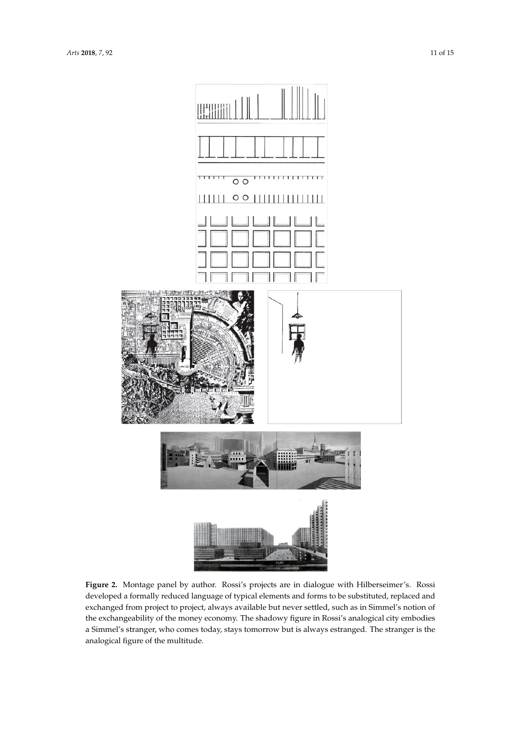<span id="page-10-0"></span>

**Figure 2.** Montage panel by author. Rossi's projects are in dialogue with Hilberseimer's. Rossi developed a formally reduced language of typical elements and forms to be substituted, replaced and exchanged from project to project, always available but never settled, such as in Simmel's notion of and exchanged from provided to provide project to provide but never settled, such as in Simmel's notional such as a Simmel's stranger, who comes today, stays tomorrow but is always estranged. The stranger is the analogical figure of the multitude. **Figure 2.** Montage panel by author. Rossi's projects are in dialogue with Hilberseimer's. Rossi the exchangeability of the money economy. The shadowy figure in Rossi's analogical city embodies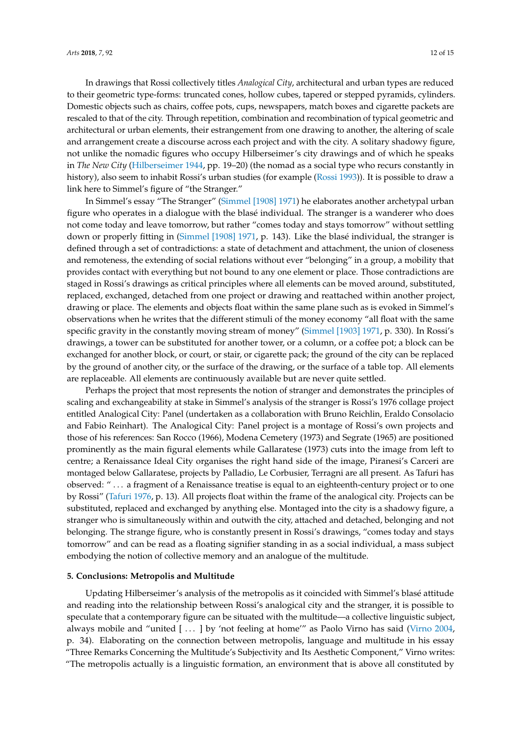In drawings that Rossi collectively titles *Analogical City*, architectural and urban types are reduced to their geometric type-forms: truncated cones, hollow cubes, tapered or stepped pyramids, cylinders. Domestic objects such as chairs, coffee pots, cups, newspapers, match boxes and cigarette packets are rescaled to that of the city. Through repetition, combination and recombination of typical geometric and architectural or urban elements, their estrangement from one drawing to another, the altering of scale and arrangement create a discourse across each project and with the city. A solitary shadowy figure, not unlike the nomadic figures who occupy Hilberseimer's city drawings and of which he speaks in *The New City* [\(Hilberseimer](#page-13-7) [1944,](#page-13-7) pp. 19–20) (the nomad as a social type who recurs constantly in history), also seem to inhabit Rossi's urban studies (for example [\(Rossi](#page-13-26) [1993\)](#page-13-26)). It is possible to draw a link here to Simmel's figure of "the Stranger."

In Simmel's essay "The Stranger" [\(Simmel](#page-13-17) [1908] [1971\)](#page-13-17) he elaborates another archetypal urban figure who operates in a dialogue with the blasé individual. The stranger is a wanderer who does not come today and leave tomorrow, but rather "comes today and stays tomorrow" without settling down or properly fitting in [\(Simmel](#page-13-17) [1908] [1971,](#page-13-17) p. 143). Like the blasé individual, the stranger is defined through a set of contradictions: a state of detachment and attachment, the union of closeness and remoteness, the extending of social relations without ever "belonging" in a group, a mobility that provides contact with everything but not bound to any one element or place. Those contradictions are staged in Rossi's drawings as critical principles where all elements can be moved around, substituted, replaced, exchanged, detached from one project or drawing and reattached within another project, drawing or place. The elements and objects float within the same plane such as is evoked in Simmel's observations when he writes that the different stimuli of the money economy "all float with the same specific gravity in the constantly moving stream of money" [\(Simmel](#page-13-0) [1903] [1971,](#page-13-0) p. 330). In Rossi's drawings, a tower can be substituted for another tower, or a column, or a coffee pot; a block can be exchanged for another block, or court, or stair, or cigarette pack; the ground of the city can be replaced by the ground of another city, or the surface of the drawing, or the surface of a table top. All elements are replaceable. All elements are continuously available but are never quite settled.

Perhaps the project that most represents the notion of stranger and demonstrates the principles of scaling and exchangeability at stake in Simmel's analysis of the stranger is Rossi's 1976 collage project entitled Analogical City: Panel (undertaken as a collaboration with Bruno Reichlin, Eraldo Consolacio and Fabio Reinhart). The Analogical City: Panel project is a montage of Rossi's own projects and those of his references: San Rocco (1966), Modena Cemetery (1973) and Segrate (1965) are positioned prominently as the main figural elements while Gallaratese (1973) cuts into the image from left to centre; a Renaissance Ideal City organises the right hand side of the image, Piranesi's Carceri are montaged below Gallaratese, projects by Palladio, Le Corbusier, Terragni are all present. As Tafuri has observed: " . . . a fragment of a Renaissance treatise is equal to an eighteenth-century project or to one by Rossi" [\(Tafuri](#page-13-27) [1976,](#page-13-27) p. 13). All projects float within the frame of the analogical city. Projects can be substituted, replaced and exchanged by anything else. Montaged into the city is a shadowy figure, a stranger who is simultaneously within and outwith the city, attached and detached, belonging and not belonging. The strange figure, who is constantly present in Rossi's drawings, "comes today and stays tomorrow" and can be read as a floating signifier standing in as a social individual, a mass subject embodying the notion of collective memory and an analogue of the multitude.

#### **5. Conclusions: Metropolis and Multitude**

Updating Hilberseimer's analysis of the metropolis as it coincided with Simmel's blasé attitude and reading into the relationship between Rossi's analogical city and the stranger, it is possible to speculate that a contemporary figure can be situated with the multitude—a collective linguistic subject, always mobile and "united [ . . . ] by 'not feeling at home'" as Paolo Virno has said [\(Virno](#page-13-4) [2004,](#page-13-4) p. 34). Elaborating on the connection between metropolis, language and multitude in his essay "Three Remarks Concerning the Multitude's Subjectivity and Its Aesthetic Component," Virno writes: "The metropolis actually is a linguistic formation, an environment that is above all constituted by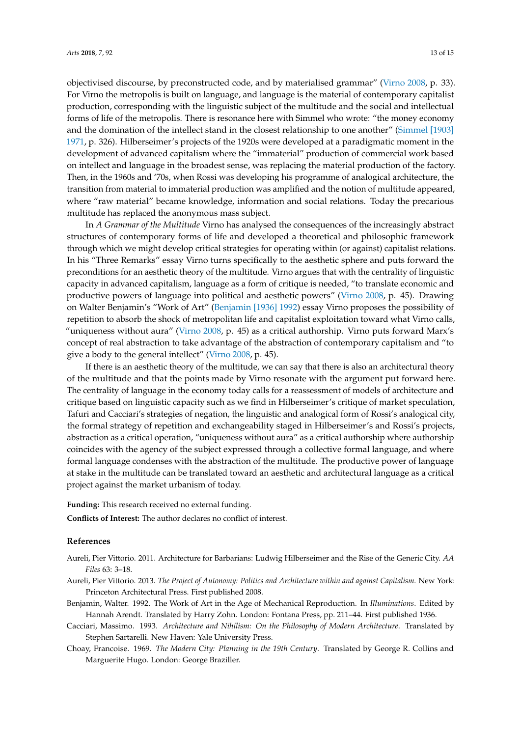objectivised discourse, by preconstructed code, and by materialised grammar" [\(Virno](#page-14-0) [2008,](#page-14-0) p. 33). For Virno the metropolis is built on language, and language is the material of contemporary capitalist production, corresponding with the linguistic subject of the multitude and the social and intellectual forms of life of the metropolis. There is resonance here with Simmel who wrote: "the money economy and the domination of the intellect stand in the closest relationship to one another" [\(Simmel](#page-13-0) [1903] [1971,](#page-13-0) p. 326). Hilberseimer's projects of the 1920s were developed at a paradigmatic moment in the development of advanced capitalism where the "immaterial" production of commercial work based on intellect and language in the broadest sense, was replacing the material production of the factory. Then, in the 1960s and '70s, when Rossi was developing his programme of analogical architecture, the transition from material to immaterial production was amplified and the notion of multitude appeared, where "raw material" became knowledge, information and social relations. Today the precarious multitude has replaced the anonymous mass subject.

In *A Grammar of the Multitude* Virno has analysed the consequences of the increasingly abstract structures of contemporary forms of life and developed a theoretical and philosophic framework through which we might develop critical strategies for operating within (or against) capitalist relations. In his "Three Remarks" essay Virno turns specifically to the aesthetic sphere and puts forward the preconditions for an aesthetic theory of the multitude. Virno argues that with the centrality of linguistic capacity in advanced capitalism, language as a form of critique is needed, "to translate economic and productive powers of language into political and aesthetic powers" [\(Virno](#page-14-0) [2008,](#page-14-0) p. 45). Drawing on Walter Benjamin's "Work of Art" [\(Benjamin](#page-12-4) [1936] [1992\)](#page-12-4) essay Virno proposes the possibility of repetition to absorb the shock of metropolitan life and capitalist exploitation toward what Virno calls, "uniqueness without aura" [\(Virno](#page-14-0) [2008,](#page-14-0) p. 45) as a critical authorship. Virno puts forward Marx's concept of real abstraction to take advantage of the abstraction of contemporary capitalism and "to give a body to the general intellect" [\(Virno](#page-14-0) [2008,](#page-14-0) p. 45).

If there is an aesthetic theory of the multitude, we can say that there is also an architectural theory of the multitude and that the points made by Virno resonate with the argument put forward here. The centrality of language in the economy today calls for a reassessment of models of architecture and critique based on linguistic capacity such as we find in Hilberseimer's critique of market speculation, Tafuri and Cacciari's strategies of negation, the linguistic and analogical form of Rossi's analogical city, the formal strategy of repetition and exchangeability staged in Hilberseimer's and Rossi's projects, abstraction as a critical operation, "uniqueness without aura" as a critical authorship where authorship coincides with the agency of the subject expressed through a collective formal language, and where formal language condenses with the abstraction of the multitude. The productive power of language at stake in the multitude can be translated toward an aesthetic and architectural language as a critical project against the market urbanism of today.

**Funding:** This research received no external funding.

**Conflicts of Interest:** The author declares no conflict of interest.

# **References**

- <span id="page-12-3"></span>Aureli, Pier Vittorio. 2011. Architecture for Barbarians: Ludwig Hilberseimer and the Rise of the Generic City. *AA Files* 63: 3–18.
- <span id="page-12-2"></span>Aureli, Pier Vittorio. 2013. *The Project of Autonomy: Politics and Architecture within and against Capitalism*. New York: Princeton Architectural Press. First published 2008.
- <span id="page-12-4"></span>Benjamin, Walter. 1992. The Work of Art in the Age of Mechanical Reproduction. In *Illuminations*. Edited by Hannah Arendt. Translated by Harry Zohn. London: Fontana Press, pp. 211–44. First published 1936.
- <span id="page-12-1"></span>Cacciari, Massimo. 1993. *Architecture and Nihilism: On the Philosophy of Modern Architecture*. Translated by Stephen Sartarelli. New Haven: Yale University Press.
- <span id="page-12-0"></span>Choay, Francoise. 1969. *The Modern City: Planning in the 19th Century*. Translated by George R. Collins and Marguerite Hugo. London: George Braziller.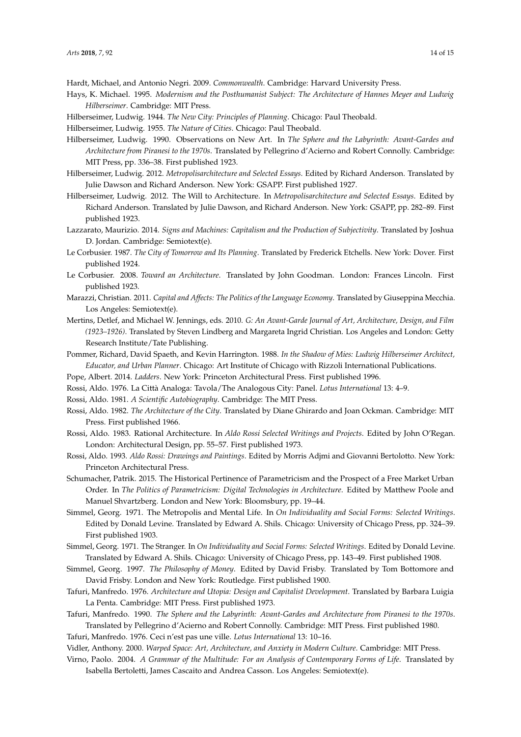<span id="page-13-9"></span>Hardt, Michael, and Antonio Negri. 2009. *Commonwealth*. Cambridge: Harvard University Press.

- <span id="page-13-15"></span>Hays, K. Michael. 1995. *Modernism and the Posthumanist Subject: The Architecture of Hannes Meyer and Ludwig Hilberseimer*. Cambridge: MIT Press.
- <span id="page-13-8"></span><span id="page-13-7"></span>Hilberseimer, Ludwig. 1944. *The New City: Principles of Planning*. Chicago: Paul Theobald.
- Hilberseimer, Ludwig. 1955. *The Nature of Cities*. Chicago: Paul Theobald.
- <span id="page-13-24"></span>Hilberseimer, Ludwig. 1990. Observations on New Art. In *The Sphere and the Labyrinth: Avant-Gardes and Architecture from Piranesi to the 1970s*. Translated by Pellegrino d'Acierno and Robert Connolly. Cambridge: MIT Press, pp. 336–38. First published 1923.
- <span id="page-13-19"></span>Hilberseimer, Ludwig. 2012. *Metropolisarchitecture and Selected Essays*. Edited by Richard Anderson. Translated by Julie Dawson and Richard Anderson. New York: GSAPP. First published 1927.
- <span id="page-13-23"></span>Hilberseimer, Ludwig. 2012. The Will to Architecture. In *Metropolisarchitecture and Selected Essays*. Edited by Richard Anderson. Translated by Julie Dawson, and Richard Anderson. New York: GSAPP, pp. 282–89. First published 1923.
- <span id="page-13-11"></span>Lazzarato, Maurizio. 2014. *Signs and Machines: Capitalism and the Production of Subjectivity*. Translated by Joshua D. Jordan. Cambridge: Semiotext(e).
- <span id="page-13-21"></span>Le Corbusier. 1987. *The City of Tomorrow and Its Planning*. Translated by Frederick Etchells. New York: Dover. First published 1924.
- <span id="page-13-20"></span>Le Corbusier. 2008. *Toward an Architecture*. Translated by John Goodman. London: Frances Lincoln. First published 1923.
- <span id="page-13-10"></span>Marazzi, Christian. 2011. *Capital and Affects: The Politics of the Language Economy*. Translated by Giuseppina Mecchia. Los Angeles: Semiotext(e).
- <span id="page-13-3"></span>Mertins, Detlef, and Michael W. Jennings, eds. 2010. *G: An Avant-Garde Journal of Art, Architecture, Design, and Film (1923–1926)*. Translated by Steven Lindberg and Margareta Ingrid Christian. Los Angeles and London: Getty Research Institute/Tate Publishing.
- <span id="page-13-22"></span>Pommer, Richard, David Spaeth, and Kevin Harrington. 1988. *In the Shadow of Mies: Ludwig Hilberseimer Architect, Educator, and Urban Planner*. Chicago: Art Institute of Chicago with Rizzoli International Publications.
- <span id="page-13-2"></span>Pope, Albert. 2014. *Ladders*. New York: Princeton Architectural Press. First published 1996.
- <span id="page-13-6"></span>Rossi, Aldo. 1976. La Città Analoga: Tavola/The Analogous City: Panel. *Lotus International* 13: 4–9.
- <span id="page-13-18"></span><span id="page-13-5"></span>Rossi, Aldo. 1981. *A Scientific Autobiography*. Cambridge: The MIT Press.
- Rossi, Aldo. 1982. *The Architecture of the City*. Translated by Diane Ghirardo and Joan Ockman. Cambridge: MIT Press. First published 1966.
- <span id="page-13-25"></span>Rossi, Aldo. 1983. Rational Architecture. In *Aldo Rossi Selected Writings and Projects*. Edited by John O'Regan. London: Architectural Design, pp. 55–57. First published 1973.
- <span id="page-13-26"></span>Rossi, Aldo. 1993. *Aldo Rossi: Drawings and Paintings*. Edited by Morris Adjmi and Giovanni Bertolotto. New York: Princeton Architectural Press.
- <span id="page-13-12"></span>Schumacher, Patrik. 2015. The Historical Pertinence of Parametricism and the Prospect of a Free Market Urban Order. In *The Politics of Parametricism: Digital Technologies in Architecture*. Edited by Matthew Poole and Manuel Shvartzberg. London and New York: Bloomsbury, pp. 19–44.
- <span id="page-13-0"></span>Simmel, Georg. 1971. The Metropolis and Mental Life. In *On Individuality and Social Forms: Selected Writings*. Edited by Donald Levine. Translated by Edward A. Shils. Chicago: University of Chicago Press, pp. 324–39. First published 1903.
- <span id="page-13-17"></span>Simmel, Georg. 1971. The Stranger. In *On Individuality and Social Forms: Selected Writings*. Edited by Donald Levine. Translated by Edward A. Shils. Chicago: University of Chicago Press, pp. 143–49. First published 1908.
- <span id="page-13-16"></span>Simmel, Georg. 1997. *The Philosophy of Money*. Edited by David Frisby. Translated by Tom Bottomore and David Frisby. London and New York: Routledge. First published 1900.
- <span id="page-13-1"></span>Tafuri, Manfredo. 1976. *Architecture and Utopia: Design and Capitalist Development*. Translated by Barbara Luigia La Penta. Cambridge: MIT Press. First published 1973.
- <span id="page-13-14"></span>Tafuri, Manfredo. 1990. *The Sphere and the Labyrinth: Avant-Gardes and Architecture from Piranesi to the 1970s*. Translated by Pellegrino d'Acierno and Robert Connolly. Cambridge: MIT Press. First published 1980.
- <span id="page-13-27"></span>Tafuri, Manfredo. 1976. Ceci n'est pas une ville. *Lotus International* 13: 10–16.
- <span id="page-13-13"></span>Vidler, Anthony. 2000. *Warped Space: Art, Architecture, and Anxiety in Modern Culture*. Cambridge: MIT Press.
- <span id="page-13-4"></span>Virno, Paolo. 2004. *A Grammar of the Multitude: For an Analysis of Contemporary Forms of Life*. Translated by Isabella Bertoletti, James Cascaito and Andrea Casson. Los Angeles: Semiotext(e).